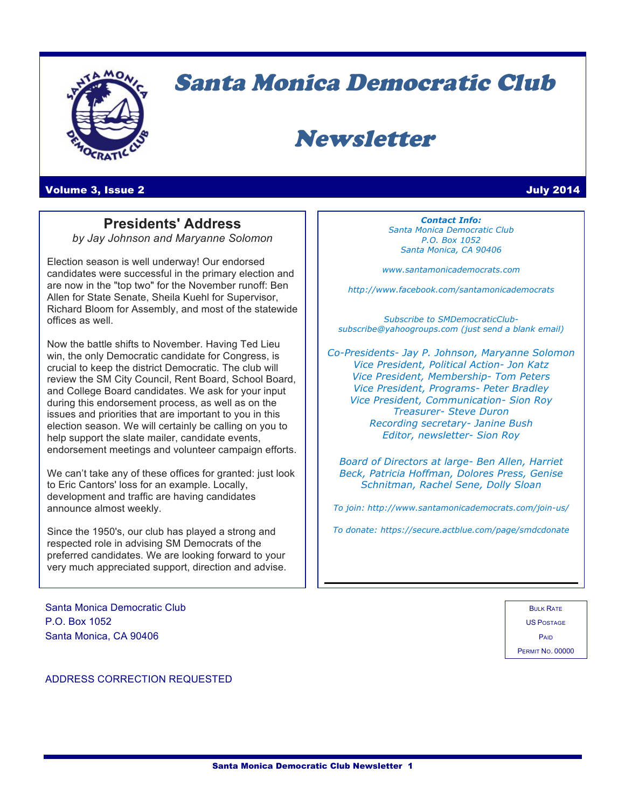

# Santa Monica Democratic Club

## Newsletter

### Volume 3, Issue 2 July 2014

## **Presidents' Address**

*by Jay Johnson and Maryanne Solomon*

Election season is well underway! Our endorsed candidates were successful in the primary election and are now in the "top two" for the November runoff: Ben Allen for State Senate, Sheila Kuehl for Supervisor, Richard Bloom for Assembly, and most of the statewide offices as well.

Now the battle shifts to November. Having Ted Lieu win, the only Democratic candidate for Congress, is crucial to keep the district Democratic. The club will review the SM City Council, Rent Board, School Board, and College Board candidates. We ask for your input during this endorsement process, as well as on the issues and priorities that are important to you in this election season. We will certainly be calling on you to help support the slate mailer, candidate events, endorsement meetings and volunteer campaign efforts.

We can't take any of these offices for granted: just look to Eric Cantors' loss for an example. Locally, development and traffic are having candidates announce almost weekly.

Since the 1950's, our club has played a strong and respected role in advising SM Democrats of the preferred candidates. We are looking forward to your very much appreciated support, direction and advise.

Santa Monica Democratic Club P.O. Box 1052 Santa Monica, CA 90406

*Contact Info: Santa Monica Democratic Club P.O. Box 1052 Santa Monica, CA 90406*

*www.santamonicademocrats.com*

*http://www.facebook.com/santamonicademocrats*

*Subscribe to SMDemocraticClubsubscribe@yahoogroups.com (just send a blank email)*

*Co-Presidents- Jay P. Johnson, Maryanne Solomon Vice President, Political Action- Jon Katz Vice President, Membership- Tom Peters Vice President, Programs- Peter Bradley Vice President, Communication- Sion Roy Treasurer- Steve Duron Recording secretary- Janine Bush Editor, newsletter- Sion Roy*

*Board of Directors at large- Ben Allen, Harriet Beck, Patricia Hoffman, Dolores Press, Genise Schnitman, Rachel Sene, Dolly Sloan*

*To join: http://www.santamonicademocrats.com/join-us/*

*To donate: https://secure.actblue.com/page/smdcdonate*

BULK RATE US POSTAGE PAID PERMIT NO. 00000

ADDRESS CORRECTION REQUESTED